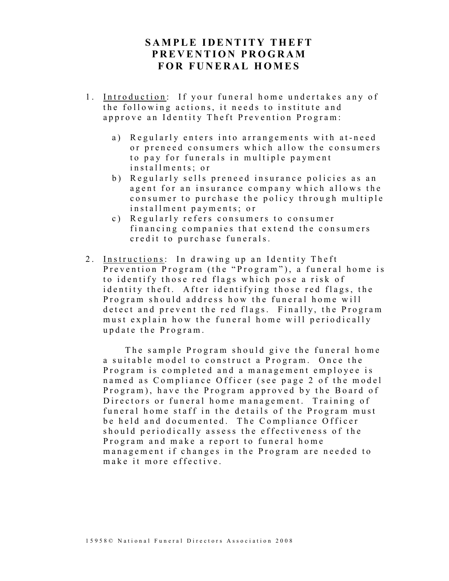# SAMPLE IDENTITY THEFT PREVENTION PROGRAM FOR FUNERAL HOMES

- 1. Introduction: If your funeral home undertakes any of the following actions, it needs to institute and approve an Identity Theft Prevention Program:
	- a) Regularly enters into arrangements with at-need or preneed consumers which allow the consumers to pay for funerals in multiple payment installments; or
	- b) Regularly sells preneed insurance policies as an agent for an insurance company which allows the consumer to purchase the policy through multiple installment payments; or
	- c) Regularly refers consumers to consumer financing companies that extend the consumers credit to purchase funerals.
- 2. Instructions: In drawing up an Identity Theft Prevention Program (the "Program"), a funeral home is to identify those red flags which pose a risk of id entity the ft. After identifying those red flags, the Program should address how the funeral home will detect and prevent the red flags. Finally, the Program must explain how the funeral home will periodically u p d a t e the P r o g r a m.

The sample Program should give the funeral home a suitable model to construct a Program. Once the Program is completed and a management employee is named as Compliance Officer (see page 2 of the model Program), have the Program approved by the Board of Directors or funeral home management. Training of funeral home staff in the details of the Program must be held and documented. The Compliance Officer should periodically assess the effectiveness of the Program and make a report to funeral home management if changes in the Program are needed to make it more effective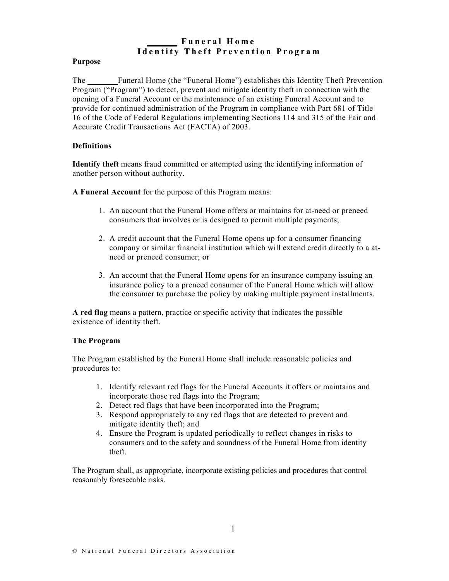# Funeral Home I dentity Theft Prevention Program

#### Purpose

The Funeral Home (the "Funeral Home") establishes this Identity Theft Prevention Program ("Program") to detect, prevent and mitigate identity theft in connection with the opening of a Funeral Account or the maintenance of an existing Funeral Account and to provide for continued administration of the Program in compliance with Part 681 of Title 16 of the Code of Federal Regulations implementing Sections 114 and 315 of the Fair and Accurate Credit Transactions Act (FACTA) of 2003.

### **Definitions**

Identify theft means fraud committed or attempted using the identifying information of another person without authority.

A Funeral Account for the purpose of this Program means:

- 1. An account that the Funeral Home offers or maintains for at-need or preneed consumers that involves or is designed to permit multiple payments;
- 2. A credit account that the Funeral Home opens up for a consumer financing company or similar financial institution which will extend credit directly to a atneed or preneed consumer; or
- 3. An account that the Funeral Home opens for an insurance company issuing an insurance policy to a preneed consumer of the Funeral Home which will allow the consumer to purchase the policy by making multiple payment installments.

A red flag means a pattern, practice or specific activity that indicates the possible existence of identity theft.

#### The Program

The Program established by the Funeral Home shall include reasonable policies and procedures to:

- 1. Identify relevant red flags for the Funeral Accounts it offers or maintains and incorporate those red flags into the Program;
- 2. Detect red flags that have been incorporated into the Program;
- 3. Respond appropriately to any red flags that are detected to prevent and mitigate identity theft; and
- 4. Ensure the Program is updated periodically to reflect changes in risks to consumers and to the safety and soundness of the Funeral Home from identity theft.

The Program shall, as appropriate, incorporate existing policies and procedures that control reasonably foreseeable risks.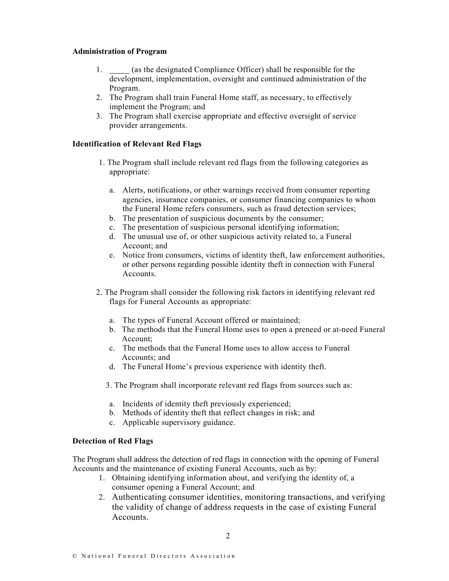#### Administration of Program

- 1. (as the designated Compliance Officer) shall be responsible for the development, implementation, oversight and continued administration of the Program.
- 2. The Program shall train Funeral Home staff, as necessary, to effectively implement the Program; and
- 3. The Program shall exercise appropriate and effective oversight of service provider arrangements.

### Identification of Relevant Red Flags

- 1. The Program shall include relevant red flags from the following categories as appropriate:
	- a. Alerts, notifications, or other warnings received from consumer reporting agencies, insurance companies, or consumer financing companies to whom the Funeral Home refers consumers, such as fraud detection services;
	- b. The presentation of suspicious documents by the consumer;
	- c. The presentation of suspicious personal identifying information;
	- d. The unusual use of, or other suspicious activity related to, a Funeral Account; and
	- e. Notice from consumers, victims of identity theft, law enforcement authorities, or other persons regarding possible identity theft in connection with Funeral Accounts.
- 2. The Program shall consider the following risk factors in identifying relevant red flags for Funeral Accounts as appropriate:
	- a. The types of Funeral Account offered or maintained;
	- b. The methods that the Funeral Home uses to open a preneed or at-need Funeral Account;
	- c. The methods that the Funeral Home uses to allow access to Funeral Accounts; and
	- d. The Funeral Home's previous experience with identity theft.

3. The Program shall incorporate relevant red flags from sources such as:

- a. Incidents of identity theft previously experienced;
- b. Methods of identity theft that reflect changes in risk; and
- c. Applicable supervisory guidance.

### Detection of Red Flags

The Program shall address the detection of red flags in connection with the opening of Funeral Accounts and the maintenance of existing Funeral Accounts, such as by:

- 1. Obtaining identifying information about, and verifying the identity of, a consumer opening a Funeral Account; and
- 2. Authenticating consumer identities, monitoring transactions, and verifying the validity of change of address requests in the case of existing Funeral Accounts.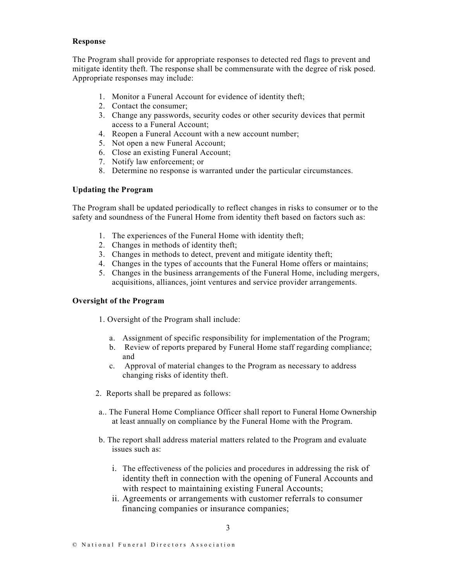#### Response

The Program shall provide for appropriate responses to detected red flags to prevent and mitigate identity theft. The response shall be commensurate with the degree of risk posed. Appropriate responses may include:

- 1. Monitor a Funeral Account for evidence of identity theft;
- 2. Contact the consumer;
- 3. Change any passwords, security codes or other security devices that permit access to a Funeral Account;
- 4. Reopen a Funeral Account with a new account number;
- 5. Not open a new Funeral Account;
- 6. Close an existing Funeral Account;
- 7. Notify law enforcement; or
- 8. Determine no response is warranted under the particular circumstances.

## Updating the Program

The Program shall be updated periodically to reflect changes in risks to consumer or to the safety and soundness of the Funeral Home from identity theft based on factors such as:

- 1. The experiences of the Funeral Home with identity theft;
- 2. Changes in methods of identity theft;
- 3. Changes in methods to detect, prevent and mitigate identity theft;
- 4. Changes in the types of accounts that the Funeral Home offers or maintains;
- 5. Changes in the business arrangements of the Funeral Home, including mergers, acquisitions, alliances, joint ventures and service provider arrangements.

### Oversight of the Program

1. Oversight of the Program shall include:

- a. Assignment of specific responsibility for implementation of the Program;
- b. Review of reports prepared by Funeral Home staff regarding compliance; and
- c. Approval of material changes to the Program as necessary to address changing risks of identity theft.
- 2. Reports shall be prepared as follows:
- a.. The Funeral Home Compliance Officer shall report to Funeral Home Ownership at least annually on compliance by the Funeral Home with the Program.
- b. The report shall address material matters related to the Program and evaluate issues such as:
	- i. The effectiveness of the policies and procedures in addressing the risk of identity theft in connection with the opening of Funeral Accounts and with respect to maintaining existing Funeral Accounts;
	- ii. Agreements or arrangements with customer referrals to consumer financing companies or insurance companies;